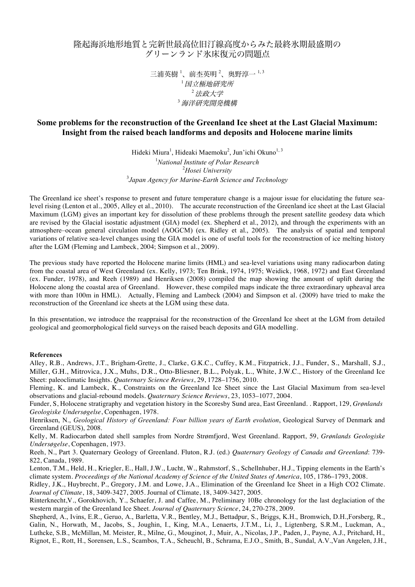## 隆起海浜地形地質と完新世最高位旧汀線高度からみた最終氷期最盛期の グリーンランド氷床復元の問題点

三浦英樹<sup>1</sup>、前杢英明<sup>2</sup>、奥野淳一<sup>1,3</sup>  $^{-1}$ 国立極地研究所 <sup>2</sup>法政大学 3 海洋研究開発機

## **Some problems for the reconstruction of the Greenland Ice sheet at the Last Glacial Maximum: Insight from the raised beach landforms and deposits and Holocene marine limits**

Hideki Miura<sup>1</sup>, Hideaki Maemoku<sup>2</sup>, Jun'ichi Okuno<sup>1, 3</sup> *National Institute of Polar Research Hosei University Japan Agency for Marine-Earth Science and Technology*

The Greenland ice sheet's response to present and future temperature change is a majour issue for elucidating the future sealevel rising (Lenton et al., 2005, Alley et al., 2010). The accurate reconstruction of the Greenland ice sheet at the Last Glacial Maximum (LGM) gives an important key for dissolution of these problems through the present satellite geodesy data which are revised by the Glacial isostatic adjustment (GIA) model (ex. Shepherd et al., 2012), and through the experiments with an atmosphere–ocean general circulation model (AOGCM) (ex. Ridley et al., 2005). The analysis of spatial and temporal variations of relative sea-level changes using the GIA model is one of useful tools for the reconstruction of ice melting history after the LGM (Fleming and Lambeck, 2004; Simpson et al., 2009).

The previous study have reported the Holocene marine limits (HML) and sea-level variations using many radiocarbon dating from the coastal area of West Greenland (ex. Kelly, 1973; Ten Brink, 1974, 1975; Weidick, 1968, 1972) and East Greenland (ex. Funder, 1978), and Reeh (1989) and Henriksen (2008) compiled the map showing the amount of uplift during the Holocene along the coastal area of Greenland. However, these compiled maps indicate the three extraordinary upheaval area with more than 100m in HML). Actually, Fleming and Lambeck (2004) and Simpson et al. (2009) have tried to make the reconstruction of the Greenland ice sheets at the LGM using these data.

In this presentation, we introduce the reappraisal for the reconstruction of the Greenland Ice sheet at the LGM from detailed geological and geomorphological field surveys on the raised beach deposits and GIA modelling.

## **References**

Alley, R.B., Andrews, J.T., Brigham-Grette, J., Clarke, G.K.C., Cuffey, K.M., Fitzpatrick, J.J., Funder, S., Marshall, S.J., Miller, G.H., Mitrovica, J.X., Muhs, D.R., Otto-Bliesner, B.L., Polyak, L., White, J.W.C., History of the Greenland Ice Sheet: paleoclimatic Insights. *Quaternary Science Reviews*, 29, 1728–1756, 2010.

Fleming, K. and Lambeck, K., Constraints on the Greenland Ice Sheet since the Last Glacial Maximum from sea-level observations and glacial-rebound models. *Quaternary Science Reviews*, 23, 1053–1077, 2004.

Funder, S, Holocene stratigraphy and vegetation history in the Scoresby Sund area, East Greenland. . Rapport, 129, *Grønlands Geologiske Undersøgelse*, Copenhagen, 1978.

Henriksen, N., *Geological History of Greenland: Four billion years of Earth evolution*, Geological Survey of Denmark and Greenland (GEUS), 2008.

Kelly, M. Radiocarbon dated shell samples from Nordre Strømfjord, West Greenland. Rapport, 59, *Grønlands Geologiske Undersøgelse*, Copenhagen, 1973.

Reeh, N., Part 3. Quaternary Geology of Greenland. Fluton, R.J. (ed.) *Quaternary Geology of Canada and Greenland*: 739- 822, Canada, 1989.

Lenton, T.M., Held, H., Kriegler, E., Hall, J.W., Lucht, W., Rahmstorf, S., Schellnhuber, H.J., Tipping elements in the Earth's climate system. *Proceedings of the National Academy of Science of the United States of America*, 105, 1786–1793, 2008.

Ridley, J.K., Huybrecht, P., Gregory, J.M. and Lowe, J.A., Elimination of the Greenland Ice Sheet in a High CO2 Climate. *Journal of Climate*, 18, 3409-3427, 2005. Journal of Climate, 18, 3409-3427, 2005.

Rinterknecht,V., Gorokhovich, Y., Schaefer, J. and Caffee, M., Preliminary 10Be chronology for the last deglaciation of the western margin of the Greenland Ice Sheet. *Journal of Quaternary Science*, 24, 270-278, 2009.

Shepherd, A., Ivins, E.R., Geruo, A., Barletta, V.R., Bentley, M.J., Bettadpur, S., Briggs, K.H., Bromwich, D.H.,Forsberg, R., Galin, N., Horwath, M., Jacobs, S., Joughin, I., King, M.A., Lenaerts, J.T.M., Li, J., Ligtenberg, S.R.M., Luckman, A., Luthcke, S.B., McMillan, M. Meister, R., Milne, G., Mouginot, J., Muir, A., Nicolas, J.P., Paden, J., Payne, A.J., Pritchard, H., Rignot, E., Rott, H., Sorensen, L.S., Scambos, T.A., Scheuchl, B., Schrama, E.J.O., Smith, B., Sundal, A.V.,Van Angelen, J.H.,